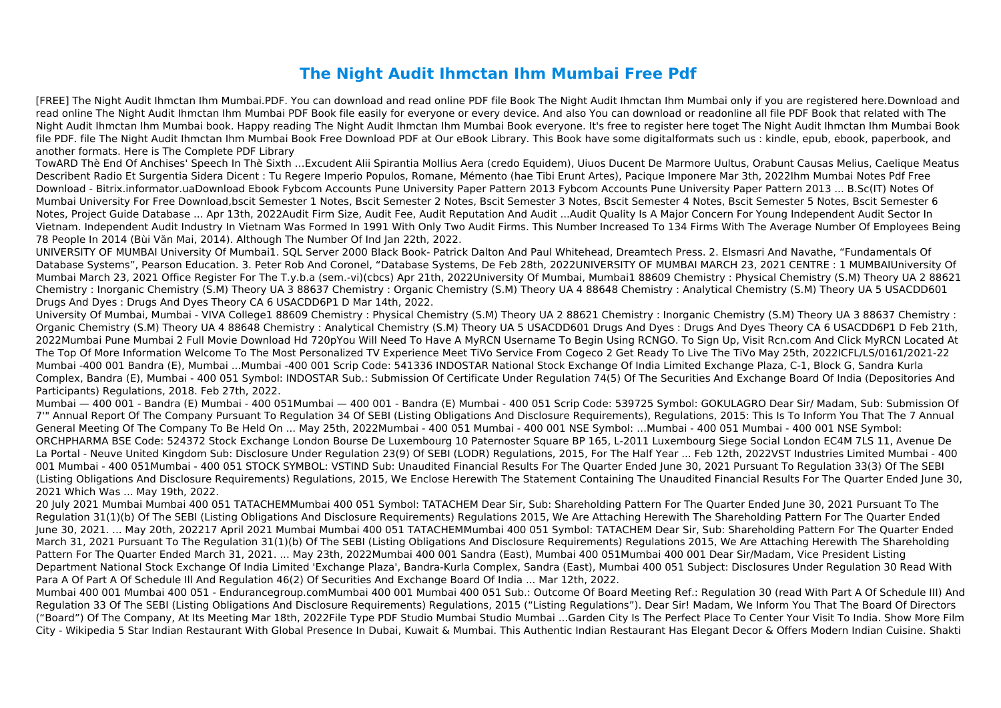## **The Night Audit Ihmctan Ihm Mumbai Free Pdf**

[FREE] The Night Audit Ihmctan Ihm Mumbai.PDF. You can download and read online PDF file Book The Night Audit Ihmctan Ihm Mumbai only if you are registered here.Download and read online The Night Audit Ihmctan Ihm Mumbai PDF Book file easily for everyone or every device. And also You can download or readonline all file PDF Book that related with The Night Audit Ihmctan Ihm Mumbai book. Happy reading The Night Audit Ihmctan Ihm Mumbai Book everyone. It's free to register here toget The Night Audit Ihmctan Ihm Mumbai Book file PDF. file The Night Audit Ihmctan Ihm Mumbai Book Free Download PDF at Our eBook Library. This Book have some digitalformats such us : kindle, epub, ebook, paperbook, and another formats. Here is The Complete PDF Library

TowARD Thè End Of Anchises' Speech In Thè Sixth …Excudent Alii Spirantia Mollius Aera (credo Equidem), Uiuos Ducent De Marmore Uultus, Orabunt Causas Melius, Caelique Meatus Describent Radio Et Surgentia Sidera Dicent : Tu Regere Imperio Populos, Romane, Mémento (hae Tibi Erunt Artes), Pacique Imponere Mar 3th, 2022Ihm Mumbai Notes Pdf Free Download - Bitrix.informator.uaDownload Ebook Fybcom Accounts Pune University Paper Pattern 2013 Fybcom Accounts Pune University Paper Pattern 2013 ... B.Sc(IT) Notes Of Mumbai University For Free Download,bscit Semester 1 Notes, Bscit Semester 2 Notes, Bscit Semester 3 Notes, Bscit Semester 4 Notes, Bscit Semester 5 Notes, Bscit Semester 6 Notes, Project Guide Database ... Apr 13th, 2022Audit Firm Size, Audit Fee, Audit Reputation And Audit ...Audit Quality Is A Major Concern For Young Independent Audit Sector In Vietnam. Independent Audit Industry In Vietnam Was Formed In 1991 With Only Two Audit Firms. This Number Increased To 134 Firms With The Average Number Of Employees Being 78 People In 2014 (Bùi Văn Mai, 2014). Although The Number Of Ind Jan 22th, 2022.

UNIVERSITY OF MUMBAI University Of Mumbai1. SQL Server 2000 Black Book‐ Patrick Dalton And Paul Whitehead, Dreamtech Press. 2. Elsmasri And Navathe, "Fundamentals Of Database Systems", Pearson Education. 3. Peter Rob And Coronel, "Database Systems, De Feb 28th, 2022UNIVERSITY OF MUMBAI MARCH 23, 2021 CENTRE : 1 MUMBAIUniversity Of Mumbai March 23, 2021 Office Register For The T.y.b.a (sem.-vi)(cbcs) Apr 21th, 2022University Of Mumbai, Mumbai1 88609 Chemistry : Physical Chemistry (S.M) Theory UA 2 88621 Chemistry : Inorganic Chemistry (S.M) Theory UA 3 88637 Chemistry : Organic Chemistry (S.M) Theory UA 4 88648 Chemistry : Analytical Chemistry (S.M) Theory UA 5 USACDD601 Drugs And Dyes : Drugs And Dyes Theory CA 6 USACDD6P1 D Mar 14th, 2022.

University Of Mumbai, Mumbai - VIVA College1 88609 Chemistry : Physical Chemistry (S.M) Theory UA 2 88621 Chemistry : Inorganic Chemistry (S.M) Theory UA 3 88637 Chemistry : Organic Chemistry (S.M) Theory UA 4 88648 Chemistry : Analytical Chemistry (S.M) Theory UA 5 USACDD601 Drugs And Dyes : Drugs And Dyes Theory CA 6 USACDD6P1 D Feb 21th, 2022Mumbai Pune Mumbai 2 Full Movie Download Hd 720pYou Will Need To Have A MyRCN Username To Begin Using RCNGO. To Sign Up, Visit Rcn.com And Click MyRCN Located At The Top Of More Information Welcome To The Most Personalized TV Experience Meet TiVo Service From Cogeco 2 Get Ready To Live The TiVo May 25th, 2022ICFL/LS/0161/2021-22 Mumbai -400 001 Bandra (E), Mumbai ...Mumbai -400 001 Scrip Code: 541336 INDOSTAR National Stock Exchange Of India Limited Exchange Plaza, C-1, Block G, Sandra Kurla Complex, Bandra (E), Mumbai - 400 051 Symbol: INDOSTAR Sub.: Submission Of Certificate Under Regulation 74(5) Of The Securities And Exchange Board Of India (Depositories And Participants) Regulations, 2018. Feb 27th, 2022.

Mumbai — 400 001 - Bandra (E) Mumbai - 400 051Mumbai — 400 001 - Bandra (E) Mumbai - 400 051 Scrip Code: 539725 Symbol: GOKULAGRO Dear Sir/ Madam, Sub: Submission Of 7'" Annual Report Of The Company Pursuant To Regulation 34 Of SEBI (Listing Obligations And Disclosure Requirements), Regulations, 2015: This Is To Inform You That The 7 Annual General Meeting Of The Company To Be Held On ... May 25th, 2022Mumbai - 400 051 Mumbai - 400 001 NSE Symbol: …Mumbai - 400 051 Mumbai - 400 001 NSE Symbol: ORCHPHARMA BSE Code: 524372 Stock Exchange London Bourse De Luxembourg 10 Paternoster Square BP 165, L-2011 Luxembourg Siege Social London EC4M 7LS 11, Avenue De La Portal - Neuve United Kingdom Sub: Disclosure Under Regulation 23(9) Of SEBI (LODR) Regulations, 2015, For The Half Year ... Feb 12th, 2022VST Industries Limited Mumbai - 400 001 Mumbai - 400 051Mumbai - 400 051 STOCK SYMBOL: VSTIND Sub: Unaudited Financial Results For The Quarter Ended June 30, 2021 Pursuant To Regulation 33(3) Of The SEBI (Listing Obligations And Disclosure Requirements) Regulations, 2015, We Enclose Herewith The Statement Containing The Unaudited Financial Results For The Quarter Ended June 30, 2021 Which Was ... May 19th, 2022.

20 July 2021 Mumbai Mumbai 400 051 TATACHEMMumbai 400 051 Symbol: TATACHEM Dear Sir, Sub: Shareholding Pattern For The Quarter Ended June 30, 2021 Pursuant To The Regulation 31(1)(b) Of The SEBI (Listing Obligations And Disclosure Requirements) Regulations 2015, We Are Attaching Herewith The Shareholding Pattern For The Quarter Ended June 30, 2021. ... May 20th, 202217 April 2021 Mumbai Mumbai 400 051 TATACHEMMumbai 400 051 Symbol: TATACHEM Dear Sir, Sub: Shareholding Pattern For The Quarter Ended March 31, 2021 Pursuant To The Regulation 31(1)(b) Of The SEBI (Listing Obligations And Disclosure Requirements) Regulations 2015, We Are Attaching Herewith The Shareholding Pattern For The Quarter Ended March 31, 2021. ... May 23th, 2022Mumbai 400 001 Sandra (East), Mumbai 400 051Mumbai 400 001 Dear Sir/Madam, Vice President Listing Department National Stock Exchange Of India Limited 'Exchange Plaza', Bandra-Kurla Complex, Sandra (East), Mumbai 400 051 Subject: Disclosures Under Regulation 30 Read With Para A Of Part A Of Schedule Ill And Regulation 46(2) Of Securities And Exchange Board Of India ... Mar 12th, 2022.

Mumbai 400 001 Mumbai 400 051 - Endurancegroup.comMumbai 400 001 Mumbai 400 051 Sub.: Outcome Of Board Meeting Ref.: Regulation 30 (read With Part A Of Schedule III) And Regulation 33 Of The SEBI (Listing Obligations And Disclosure Requirements) Regulations, 2015 ("Listing Regulations"). Dear Sir! Madam, We Inform You That The Board Of Directors ("Board") Of The Company, At Its Meeting Mar 18th, 2022File Type PDF Studio Mumbai Studio Mumbai ...Garden City Is The Perfect Place To Center Your Visit To India. Show More Film City - Wikipedia 5 Star Indian Restaurant With Global Presence In Dubai, Kuwait & Mumbai. This Authentic Indian Restaurant Has Elegant Decor & Offers Modern Indian Cuisine. Shakti